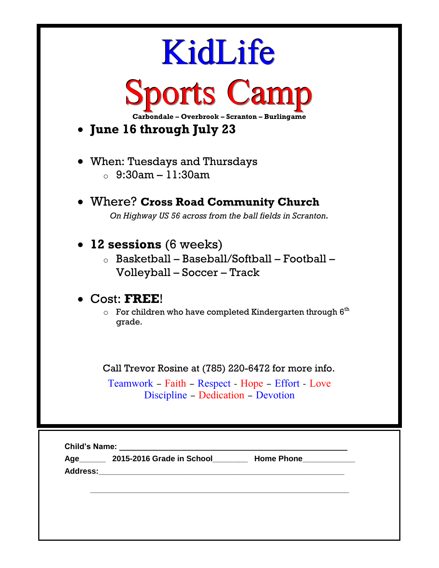| KidLife<br><b>Sports Camp</b><br>Carbondale - Overbrook - Scranton - Burlingame<br>• June 16 through July 23                                   |
|------------------------------------------------------------------------------------------------------------------------------------------------|
| • When: Tuesdays and Thursdays<br>$\, \circ \,$ 9:30am – 11:30am                                                                               |
| • Where? Cross Road Community Church<br>On Highway US 56 across from the ball fields in Scranton.                                              |
| $\bullet$ 12 sessions (6 weeks)<br>$\circ$ Basketball – Baseball/Softball – Football –<br>Volleyball – Soccer – Track                          |
| $\bullet$ Cost: FREE!<br>For children who have completed Kindergarten through $6th$<br>O<br>grade.                                             |
| Call Trevor Rosine at (785) 220-6472 for more info.<br>Teamwork – Faith – Respect – Hope – Effort – Love<br>Discipline - Dedication - Devotion |
| <b>Child's Name:</b><br><b>Home Phone</b><br>2015-2016 Grade in School<br>Age__                                                                |

**Address:\_\_\_\_\_\_\_\_\_\_\_\_\_\_\_\_\_\_\_\_\_\_\_\_\_\_\_\_\_\_\_\_\_\_\_\_\_\_\_\_\_\_\_\_\_\_\_\_\_\_\_\_\_\_\_\_**

**\_\_\_\_\_\_\_\_\_\_\_\_\_\_\_\_\_\_\_\_\_\_\_\_\_\_\_\_\_\_\_\_\_\_\_\_\_\_\_\_\_\_\_\_\_\_\_\_\_\_\_\_\_\_\_\_\_\_\_**